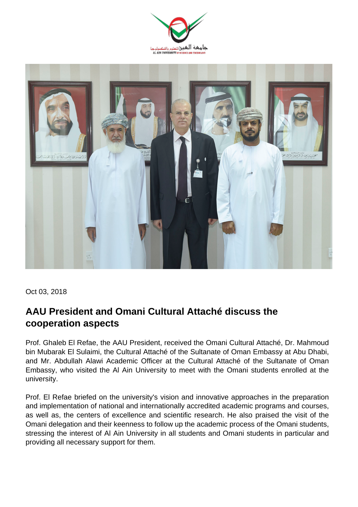



Oct 03, 2018

## **AAU President and Omani Cultural Attaché discuss the cooperation aspects**

Prof. Ghaleb El Refae, the AAU President, received the Omani Cultural Attaché, Dr. Mahmoud bin Mubarak El Sulaimi, the Cultural Attaché of the Sultanate of Oman Embassy at Abu Dhabi, and Mr. Abdullah Alawi Academic Officer at the Cultural Attaché of the Sultanate of Oman Embassy, who visited the Al Ain University to meet with the Omani students enrolled at the university.

Prof. El Refae briefed on the university's vision and innovative approaches in the preparation and implementation of national and internationally accredited academic programs and courses, as well as, the centers of excellence and scientific research. He also praised the visit of the Omani delegation and their keenness to follow up the academic process of the Omani students, stressing the interest of Al Ain University in all students and Omani students in particular and providing all necessary support for them.